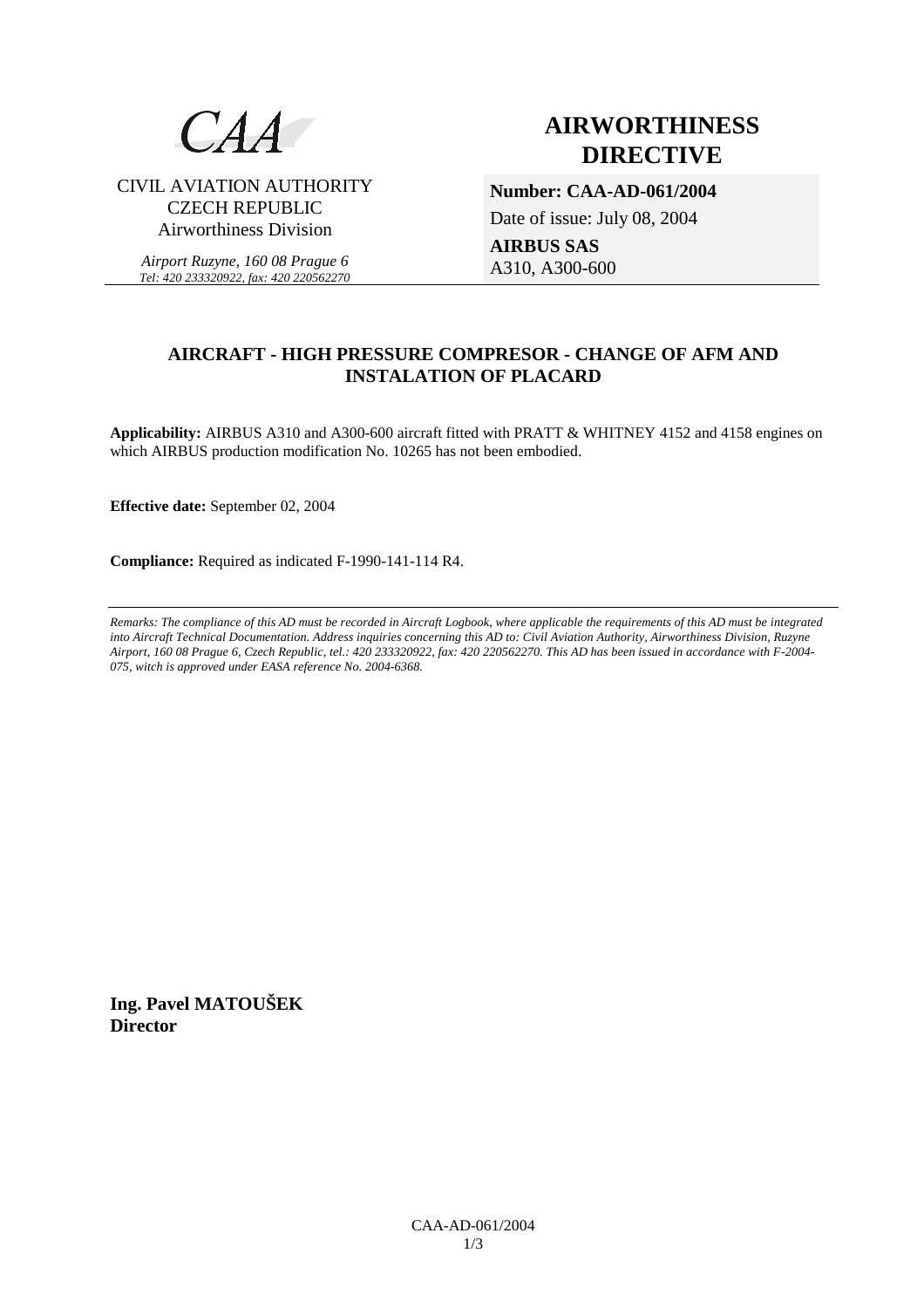

CIVIL AVIATION AUTHORITY CZECH REPUBLIC Airworthiness Division

*Airport Ruzyne, 160 08 Prague 6 Tel: 420 233320922, fax: 420 220562270*

# **AIRWORTHINESS DIRECTIVE**

**Number: CAA-AD-061/2004** 

Date of issue: July 08, 2004

**AIRBUS SAS** A310, A300-600

# **AIRCRAFT - HIGH PRESSURE COMPRESOR - CHANGE OF AFM AND INSTALATION OF PLACARD**

**Applicability:** AIRBUS A310 and A300-600 aircraft fitted with PRATT & WHITNEY 4152 and 4158 engines on which AIRBUS production modification No. 10265 has not been embodied.

**Effective date:** September 02, 2004

**Compliance:** Required as indicated F-1990-141-114 R4.

*Remarks: The compliance of this AD must be recorded in Aircraft Logbook, where applicable the requirements of this AD must be integrated into Aircraft Technical Documentation. Address inquiries concerning this AD to: Civil Aviation Authority, Airworthiness Division, Ruzyne Airport, 160 08 Prague 6, Czech Republic, tel.: 420 233320922, fax: 420 220562270. This AD has been issued in accordance with F-2004- 075, witch is approved under EASA reference No. 2004-6368.* 

**Ing. Pavel MATOUŠEK Director**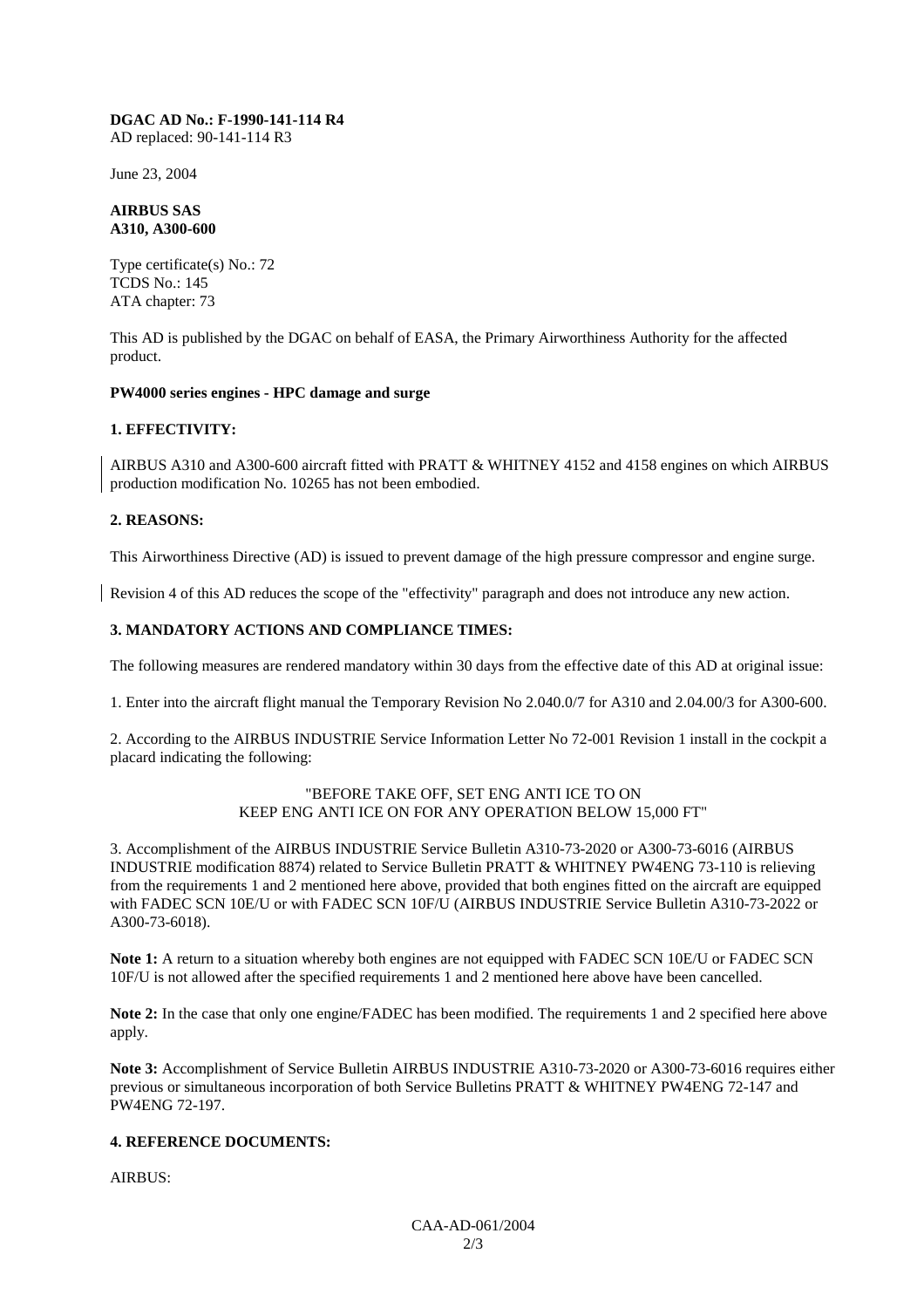#### **DGAC AD No.: F-1990-141-114 R4**  AD replaced: 90-141-114 R3

June 23, 2004

### **AIRBUS SAS A310, A300-600**

Type certificate(s) No.: 72 TCDS No.: 145 ATA chapter: 73

This AD is published by the DGAC on behalf of EASA, the Primary Airworthiness Authority for the affected product.

### **PW4000 series engines - HPC damage and surge**

# **1. EFFECTIVITY:**

AIRBUS A310 and A300-600 aircraft fitted with PRATT & WHITNEY 4152 and 4158 engines on which AIRBUS production modification No. 10265 has not been embodied.

# **2. REASONS:**

This Airworthiness Directive (AD) is issued to prevent damage of the high pressure compressor and engine surge.

Revision 4 of this AD reduces the scope of the "effectivity" paragraph and does not introduce any new action.

# **3. MANDATORY ACTIONS AND COMPLIANCE TIMES:**

The following measures are rendered mandatory within 30 days from the effective date of this AD at original issue:

1. Enter into the aircraft flight manual the Temporary Revision No 2.040.0/7 for A310 and 2.04.00/3 for A300-600.

2. According to the AIRBUS INDUSTRIE Service Information Letter No 72-001 Revision 1 install in the cockpit a placard indicating the following:

#### "BEFORE TAKE OFF, SET ENG ANTI ICE TO ON KEEP ENG ANTI ICE ON FOR ANY OPERATION BELOW 15,000 FT"

3. Accomplishment of the AIRBUS INDUSTRIE Service Bulletin A310-73-2020 or A300-73-6016 (AIRBUS INDUSTRIE modification 8874) related to Service Bulletin PRATT & WHITNEY PW4ENG 73-110 is relieving from the requirements 1 and 2 mentioned here above, provided that both engines fitted on the aircraft are equipped with FADEC SCN 10E/U or with FADEC SCN 10F/U (AIRBUS INDUSTRIE Service Bulletin A310-73-2022 or A300-73-6018).

**Note 1:** A return to a situation whereby both engines are not equipped with FADEC SCN 10E/U or FADEC SCN 10F/U is not allowed after the specified requirements 1 and 2 mentioned here above have been cancelled.

**Note 2:** In the case that only one engine/FADEC has been modified. The requirements 1 and 2 specified here above apply.

**Note 3:** Accomplishment of Service Bulletin AIRBUS INDUSTRIE A310-73-2020 or A300-73-6016 requires either previous or simultaneous incorporation of both Service Bulletins PRATT & WHITNEY PW4ENG 72-147 and PW4ENG 72-197.

# **4. REFERENCE DOCUMENTS:**

AIRBUS: